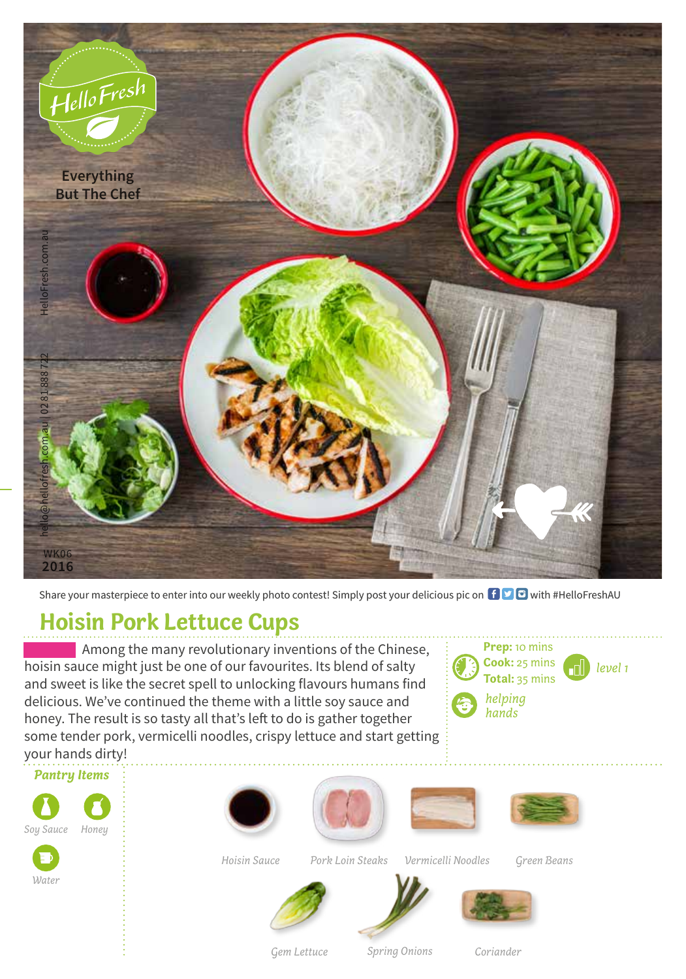

Share your masterpiece to enter into our weekly photo contest! Simply post your delicious pic on  $\bigoplus$   $\bigoplus$  with #HelloFreshAU

## **Hoisin Pork Lettuce Cups**

Among the many revolutionary inventions of the Chinese, hoisin sauce might just be one of our favourites. Its blend of salty and sweet is like the secret spell to unlocking flavours humans find delicious. We've continued the theme with a little soy sauce and honey. The result is so tasty all that's left to do is gather together some tender pork, vermicelli noodles, crispy lettuce and start getting your hands dirty!





*Water*









*Hoisin Sauce*

*Vermicelli Noodles Pork Loin Steaks Green Beans*





*Spring Onions*



*Gem Lettuce*

*Coriander*